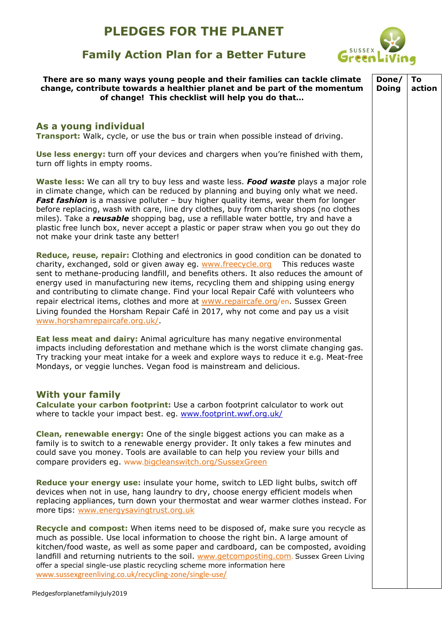## **PLEDGES FOR THE PLANET**

# SUSSEX Green

### **Family Action Plan for a Better Future**

| There are so many ways young people and their families can tackle climate<br>change, contribute towards a healthier planet and be part of the momentum<br>of change! This checklist will help you do that                                                                                                                                                                                                                                                                                                                                                                                                                                           | Done/<br><b>Doing</b> | To<br>action |
|-----------------------------------------------------------------------------------------------------------------------------------------------------------------------------------------------------------------------------------------------------------------------------------------------------------------------------------------------------------------------------------------------------------------------------------------------------------------------------------------------------------------------------------------------------------------------------------------------------------------------------------------------------|-----------------------|--------------|
|                                                                                                                                                                                                                                                                                                                                                                                                                                                                                                                                                                                                                                                     |                       |              |
| As a young individual<br>Transport: Walk, cycle, or use the bus or train when possible instead of driving.                                                                                                                                                                                                                                                                                                                                                                                                                                                                                                                                          |                       |              |
| Use less energy: turn off your devices and chargers when you're finished with them,<br>turn off lights in empty rooms.                                                                                                                                                                                                                                                                                                                                                                                                                                                                                                                              |                       |              |
| Waste less: We can all try to buy less and waste less. Food waste plays a major role<br>in climate change, which can be reduced by planning and buying only what we need.<br>Fast fashion is a massive polluter - buy higher quality items, wear them for longer<br>before replacing, wash with care, line dry clothes, buy from charity shops (no clothes<br>miles). Take a <i>reusable</i> shopping bag, use a refillable water bottle, try and have a<br>plastic free lunch box, never accept a plastic or paper straw when you go out they do<br>not make your drink taste any better!                                                          |                       |              |
| Reduce, reuse, repair: Clothing and electronics in good condition can be donated to<br>charity, exchanged, sold or given away eg. www.freecycle.org This reduces waste<br>sent to methane-producing landfill, and benefits others. It also reduces the amount of<br>energy used in manufacturing new items, recycling them and shipping using energy<br>and contributing to climate change. Find your local Repair Café with volunteers who<br>repair electrical items, clothes and more at www.repaircafe.org/en. Sussex Green<br>Living founded the Horsham Repair Café in 2017, why not come and pay us a visit<br>www.horshamrepaircafe.org.uk/ |                       |              |
| Eat less meat and dairy: Animal agriculture has many negative environmental<br>impacts including deforestation and methane which is the worst climate changing gas.<br>Try tracking your meat intake for a week and explore ways to reduce it e.g. Meat-free<br>Mondays, or veggie lunches. Vegan food is mainstream and delicious.                                                                                                                                                                                                                                                                                                                 |                       |              |
| <b>With your family</b><br>Calculate your carbon footprint: Use a carbon footprint calculator to work out<br>where to tackle your impact best. eg. www.footprint.wwf.org.uk/                                                                                                                                                                                                                                                                                                                                                                                                                                                                        |                       |              |
| <b>Clean, renewable energy:</b> One of the single biggest actions you can make as a<br>family is to switch to a renewable energy provider. It only takes a few minutes and<br>could save you money. Tools are available to can help you review your bills and<br>compare providers eg. www.bigcleanswitch.org/SussexGreen                                                                                                                                                                                                                                                                                                                           |                       |              |
| <b>Reduce your energy use:</b> insulate your home, switch to LED light bulbs, switch off<br>devices when not in use, hang laundry to dry, choose energy efficient models when<br>replacing appliances, turn down your thermostat and wear warmer clothes instead. For<br>more tips: www.energysavingtrust.org.uk                                                                                                                                                                                                                                                                                                                                    |                       |              |
| Recycle and compost: When items need to be disposed of, make sure you recycle as<br>much as possible. Use local information to choose the right bin. A large amount of<br>kitchen/food waste, as well as some paper and cardboard, can be composted, avoiding<br>landfill and returning nutrients to the soil. www.getcomposting.com. Sussex Green Living<br>offer a special single-use plastic recycling scheme more information here<br>www.sussexgreenliving.co.uk/recycling-zone/single-use/                                                                                                                                                    |                       |              |
| edgesfornlanetfamilyjuly2019                                                                                                                                                                                                                                                                                                                                                                                                                                                                                                                                                                                                                        |                       |              |